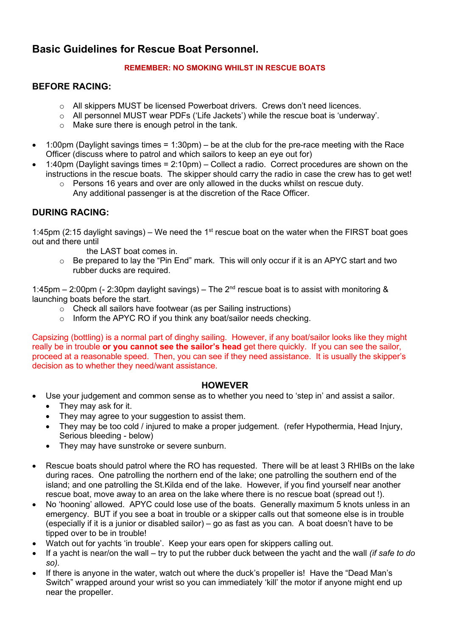# **Basic Guidelines for Rescue Boat Personnel.**

### **REMEMBER: NO SMOKING WHILST IN RESCUE BOATS**

## **BEFORE RACING:**

- $\circ$  All skippers MUST be licensed Powerboat drivers. Crews don't need licences.
- o All personnel MUST wear PDFs ('Life Jackets') while the rescue boat is 'underway'.
- o Make sure there is enough petrol in the tank.
- $\bullet$  1:00pm (Daylight savings times = 1:30pm) be at the club for the pre-race meeting with the Race Officer (discuss where to patrol and which sailors to keep an eye out for)
- 1:40pm (Daylight savings times = 2:10pm) Collect a radio. Correct procedures are shown on the instructions in the rescue boats. The skipper should carry the radio in case the crew has to get wet!
	- $\circ$  Persons 16 years and over are only allowed in the ducks whilst on rescue duty. Any additional passenger is at the discretion of the Race Officer.

## **DURING RACING:**

1:45pm (2:15 daylight savings) – We need the 1<sup>st</sup> rescue boat on the water when the FIRST boat goes out and there until

- the LAST boat comes in.
- o Be prepared to lay the "Pin End" mark. This will only occur if it is an APYC start and two rubber ducks are required.

1:45pm – 2:00pm (- 2:30pm daylight savings) – The 2nd rescue boat is to assist with monitoring & launching boats before the start.

- o Check all sailors have footwear (as per Sailing instructions)
- o Inform the APYC RO if you think any boat/sailor needs checking.

Capsizing (bottling) is a normal part of dinghy sailing. However, if any boat/sailor looks like they might really be in trouble **or you cannot see the sailor's head** get there quickly. If you can see the sailor, proceed at a reasonable speed. Then, you can see if they need assistance. It is usually the skipper's decision as to whether they need/want assistance.

## **HOWEVER**

- Use your judgement and common sense as to whether you need to 'step in' and assist a sailor.
	- They may ask for it.
	- They may agree to your suggestion to assist them.
	- They may be too cold / injured to make a proper judgement. (refer Hypothermia, Head Injury, Serious bleeding - below)
	- They may have sunstroke or severe sunburn.
- Rescue boats should patrol where the RO has requested. There will be at least 3 RHIBs on the lake during races. One patrolling the northern end of the lake; one patrolling the southern end of the island; and one patrolling the St.Kilda end of the lake. However, if you find yourself near another rescue boat, move away to an area on the lake where there is no rescue boat (spread out !).
- No 'hooning' allowed. APYC could lose use of the boats. Generally maximum 5 knots unless in an emergency. BUT if you see a boat in trouble or a skipper calls out that someone else is in trouble (especially if it is a junior or disabled sailor) – go as fast as you can. A boat doesn't have to be tipped over to be in trouble!
- Watch out for yachts 'in trouble'. Keep your ears open for skippers calling out.
- If a yacht is near/on the wall try to put the rubber duck between the yacht and the wall *(if safe to do so).*
- If there is anyone in the water, watch out where the duck's propeller is! Have the "Dead Man's Switch" wrapped around your wrist so you can immediately 'kill' the motor if anyone might end up near the propeller.